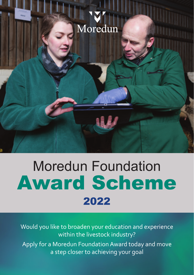

## Moredun Foundation Award Scheme 2022

Would you like to broaden your education and experience within the livestock industry? Apply for a Moredun Foundation Award today and move a step closer to achieving your goal